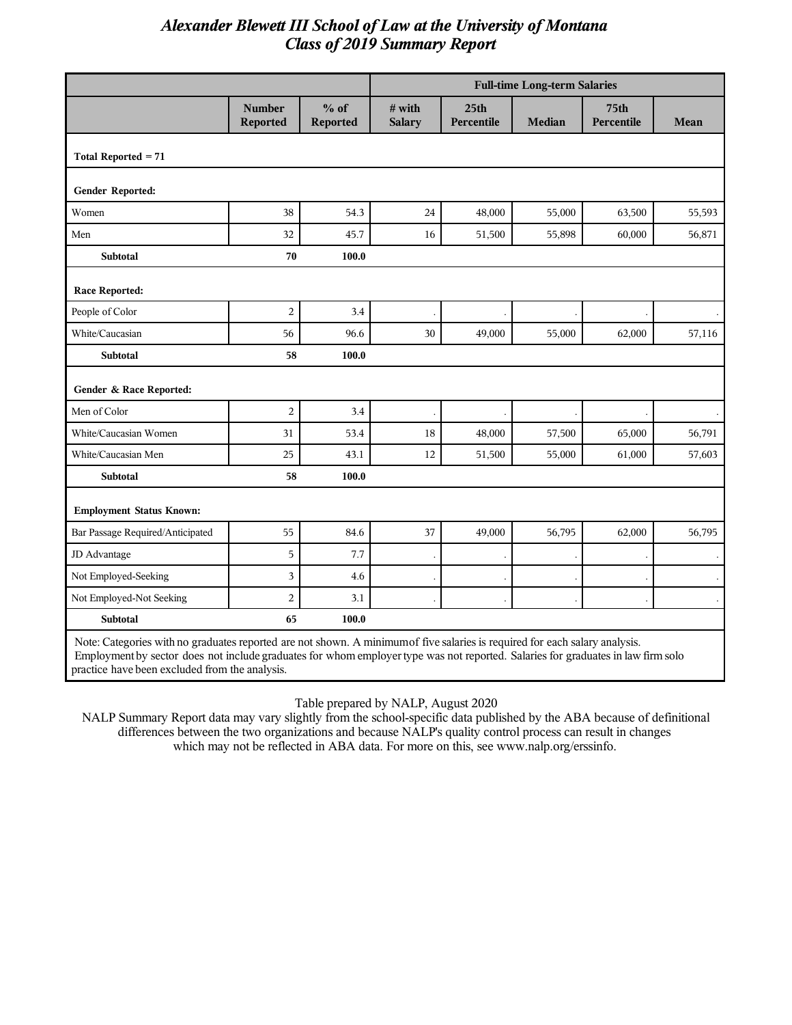|                                                                                                                             |                                  |                           | <b>Full-time Long-term Salaries</b> |                                |               |                                |        |
|-----------------------------------------------------------------------------------------------------------------------------|----------------------------------|---------------------------|-------------------------------------|--------------------------------|---------------|--------------------------------|--------|
|                                                                                                                             | <b>Number</b><br><b>Reported</b> | $%$ of<br><b>Reported</b> | # with<br><b>Salary</b>             | 25 <sub>th</sub><br>Percentile | <b>Median</b> | 75 <sub>th</sub><br>Percentile | Mean   |
| Total Reported $= 71$                                                                                                       |                                  |                           |                                     |                                |               |                                |        |
| Gender Reported:                                                                                                            |                                  |                           |                                     |                                |               |                                |        |
| Women                                                                                                                       | 38                               | 54.3                      | 24                                  | 48,000                         | 55,000        | 63,500                         | 55,593 |
| Men                                                                                                                         | 32                               | 45.7                      | 16                                  | 51,500                         | 55,898        | 60,000                         | 56,871 |
| <b>Subtotal</b>                                                                                                             | 70                               | 100.0                     |                                     |                                |               |                                |        |
| <b>Race Reported:</b>                                                                                                       |                                  |                           |                                     |                                |               |                                |        |
| People of Color                                                                                                             | $\overline{c}$                   | 3.4                       |                                     |                                |               |                                |        |
| White/Caucasian                                                                                                             | 56                               | 96.6                      | 30                                  | 49,000                         | 55,000        | 62,000                         | 57,116 |
| <b>Subtotal</b>                                                                                                             | 58                               | 100.0                     |                                     |                                |               |                                |        |
| Gender & Race Reported:                                                                                                     |                                  |                           |                                     |                                |               |                                |        |
| Men of Color                                                                                                                | $\overline{c}$                   | 3.4                       |                                     |                                |               |                                |        |
| White/Caucasian Women                                                                                                       | 31                               | 53.4                      | 18                                  | 48,000                         | 57,500        | 65,000                         | 56,791 |
| White/Caucasian Men                                                                                                         | 25                               | 43.1                      | 12                                  | 51,500                         | 55,000        | 61,000                         | 57,603 |
| Subtotal                                                                                                                    | 58                               | 100.0                     |                                     |                                |               |                                |        |
| <b>Employment Status Known:</b>                                                                                             |                                  |                           |                                     |                                |               |                                |        |
| Bar Passage Required/Anticipated                                                                                            | 55                               | 84.6                      | 37                                  | 49,000                         | 56,795        | 62,000                         | 56,795 |
| JD Advantage                                                                                                                | 5                                | 7.7                       |                                     |                                |               |                                |        |
| Not Employed-Seeking                                                                                                        | 3                                | 4.6                       |                                     |                                |               |                                |        |
| Not Employed-Not Seeking                                                                                                    | $\overline{c}$                   | 3.1                       |                                     |                                |               |                                |        |
| Subtotal                                                                                                                    | 65                               | 100.0                     |                                     |                                |               |                                |        |
| Note: Categories with no graduates reported are not shown. A minimum of five salaries is required for each salary analysis. |                                  |                           |                                     |                                |               |                                |        |

Employment by sector does not include graduates for whom employer type was not reported. Salaries for graduates in law firm solo practice have been excluded from the analysis.

Table prepared by NALP, August 2020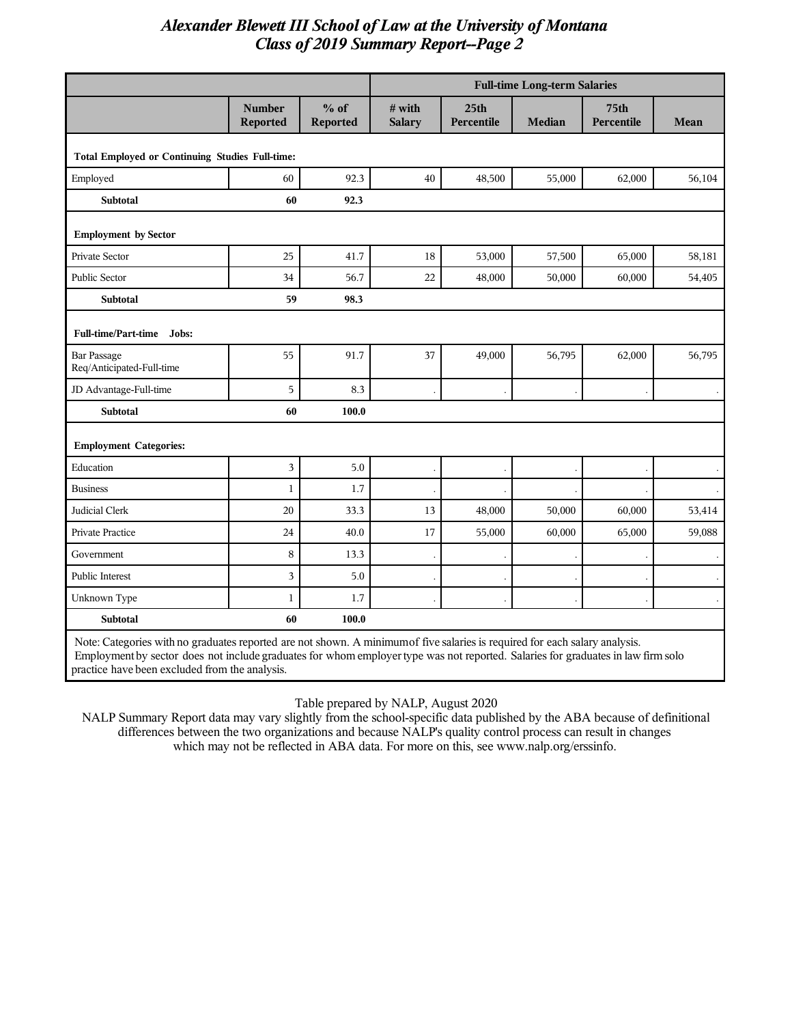|                                                                                                                             |                                  |                    | <b>Full-time Long-term Salaries</b> |                                |        |                                |        |
|-----------------------------------------------------------------------------------------------------------------------------|----------------------------------|--------------------|-------------------------------------|--------------------------------|--------|--------------------------------|--------|
|                                                                                                                             | <b>Number</b><br><b>Reported</b> | $%$ of<br>Reported | # with<br><b>Salary</b>             | 25 <sub>th</sub><br>Percentile | Median | 75 <sub>th</sub><br>Percentile | Mean   |
| <b>Total Employed or Continuing Studies Full-time:</b>                                                                      |                                  |                    |                                     |                                |        |                                |        |
| Employed                                                                                                                    | 60                               | 92.3               | 40                                  | 48,500                         | 55,000 | 62,000                         | 56,104 |
| Subtotal                                                                                                                    | 60                               | 92.3               |                                     |                                |        |                                |        |
| <b>Employment by Sector</b>                                                                                                 |                                  |                    |                                     |                                |        |                                |        |
| Private Sector                                                                                                              | 25                               | 41.7               | 18                                  | 53,000                         | 57,500 | 65,000                         | 58,181 |
| Public Sector                                                                                                               | 34                               | 56.7               | 22                                  | 48,000                         | 50,000 | 60,000                         | 54,405 |
| <b>Subtotal</b>                                                                                                             | 59                               | 98.3               |                                     |                                |        |                                |        |
| <b>Full-time/Part-time</b><br>Jobs:                                                                                         |                                  |                    |                                     |                                |        |                                |        |
| <b>Bar Passage</b><br>Req/Anticipated-Full-time                                                                             | 55                               | 91.7               | 37                                  | 49,000                         | 56,795 | 62,000                         | 56,795 |
| JD Advantage-Full-time                                                                                                      | 5                                | 8.3                |                                     |                                |        |                                |        |
| <b>Subtotal</b>                                                                                                             | 60                               | 100.0              |                                     |                                |        |                                |        |
| <b>Employment Categories:</b>                                                                                               |                                  |                    |                                     |                                |        |                                |        |
| Education                                                                                                                   | 3                                | 5.0                |                                     |                                |        |                                |        |
| <b>Business</b>                                                                                                             | $\mathbf{1}$                     | 1.7                |                                     |                                |        |                                |        |
| Judicial Clerk                                                                                                              | 20                               | 33.3               | 13                                  | 48,000                         | 50,000 | 60,000                         | 53,414 |
| Private Practice                                                                                                            | 24                               | 40.0               | 17                                  | 55,000                         | 60,000 | 65,000                         | 59,088 |
| Government                                                                                                                  | 8                                | 13.3               |                                     |                                |        |                                |        |
| <b>Public Interest</b>                                                                                                      | 3                                | 5.0                |                                     |                                |        |                                |        |
| Unknown Type                                                                                                                | $\mathbf{1}$                     | 1.7                |                                     |                                |        |                                |        |
| <b>Subtotal</b><br>60<br>100.0                                                                                              |                                  |                    |                                     |                                |        |                                |        |
| Note: Categories with no graduates reported are not shown. A minimum of five salaries is required for each salary analysis. |                                  |                    |                                     |                                |        |                                |        |

Note: Categories with no graduates reported are not shown. A minimumof five salaries is required for each salary analysis. Employment by sector does not include graduates for whom employer type was not reported. Salaries for graduates in law firm solo practice have been excluded from the analysis.

Table prepared by NALP, August 2020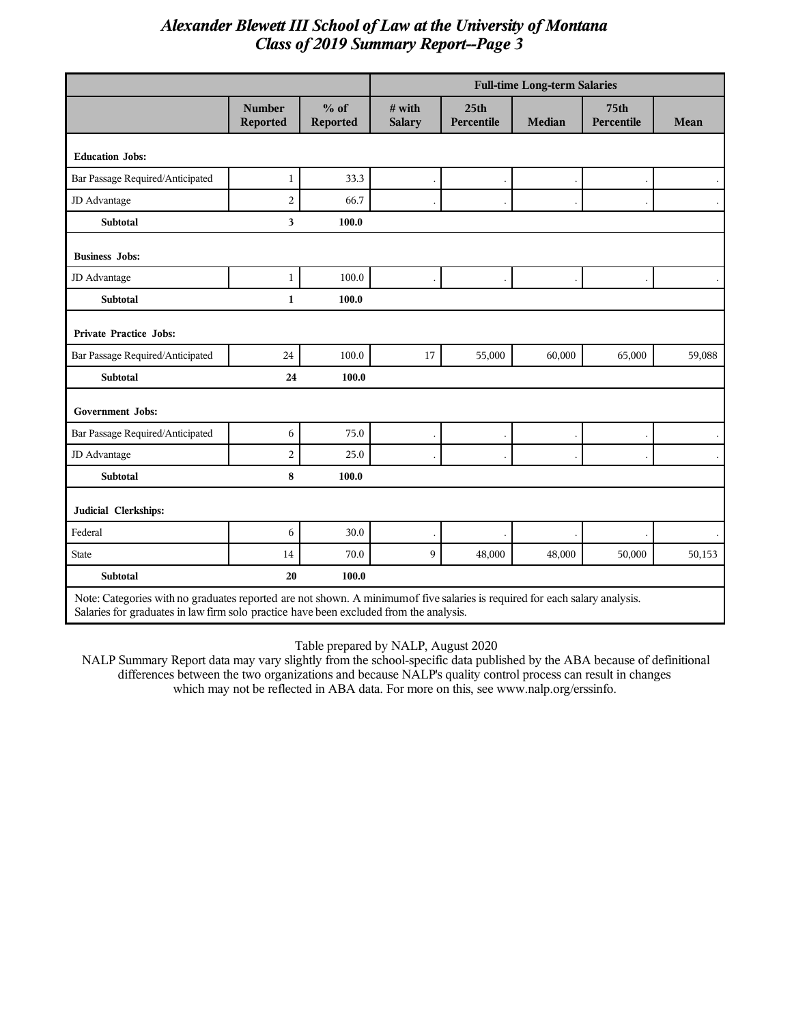|                                                                                                                                                                                                                       |                           |                           | <b>Full-time Long-term Salaries</b> |                                |               |                                |             |
|-----------------------------------------------------------------------------------------------------------------------------------------------------------------------------------------------------------------------|---------------------------|---------------------------|-------------------------------------|--------------------------------|---------------|--------------------------------|-------------|
|                                                                                                                                                                                                                       | <b>Number</b><br>Reported | $%$ of<br><b>Reported</b> | # with<br><b>Salary</b>             | 25 <sub>th</sub><br>Percentile | <b>Median</b> | 75 <sub>th</sub><br>Percentile | <b>Mean</b> |
| <b>Education Jobs:</b>                                                                                                                                                                                                |                           |                           |                                     |                                |               |                                |             |
| Bar Passage Required/Anticipated                                                                                                                                                                                      | $\mathbf{1}$              | 33.3                      |                                     |                                |               |                                |             |
| JD Advantage                                                                                                                                                                                                          | $\overline{2}$            | 66.7                      |                                     |                                |               |                                |             |
| <b>Subtotal</b>                                                                                                                                                                                                       | $\overline{\mathbf{3}}$   | 100.0                     |                                     |                                |               |                                |             |
| <b>Business Jobs:</b>                                                                                                                                                                                                 |                           |                           |                                     |                                |               |                                |             |
| JD Advantage                                                                                                                                                                                                          | $\mathbf{1}$              | 100.0                     |                                     |                                |               |                                |             |
| Subtotal                                                                                                                                                                                                              | $\mathbf{1}$              | 100.0                     |                                     |                                |               |                                |             |
| <b>Private Practice Jobs:</b>                                                                                                                                                                                         |                           |                           |                                     |                                |               |                                |             |
| Bar Passage Required/Anticipated                                                                                                                                                                                      | 24                        | 100.0                     | 17                                  | 55,000                         | 60,000        | 65,000                         | 59,088      |
| <b>Subtotal</b>                                                                                                                                                                                                       | 24                        | 100.0                     |                                     |                                |               |                                |             |
| <b>Government Jobs:</b>                                                                                                                                                                                               |                           |                           |                                     |                                |               |                                |             |
| Bar Passage Required/Anticipated                                                                                                                                                                                      | 6                         | 75.0                      |                                     |                                |               |                                |             |
| JD Advantage                                                                                                                                                                                                          | $\overline{2}$            | 25.0                      |                                     |                                |               |                                |             |
| <b>Subtotal</b>                                                                                                                                                                                                       | 8                         | 100.0                     |                                     |                                |               |                                |             |
| Judicial Clerkships:                                                                                                                                                                                                  |                           |                           |                                     |                                |               |                                |             |
| Federal                                                                                                                                                                                                               | 6                         | 30.0                      |                                     |                                |               |                                |             |
| <b>State</b>                                                                                                                                                                                                          | 14                        | 70.0                      | 9                                   | 48,000                         | 48,000        | 50,000                         | 50,153      |
| <b>Subtotal</b>                                                                                                                                                                                                       | 20                        | 100.0                     |                                     |                                |               |                                |             |
| Note: Categories with no graduates reported are not shown. A minimum of five salaries is required for each salary analysis.<br>Salaries for graduates in law firm solo practice have been excluded from the analysis. |                           |                           |                                     |                                |               |                                |             |

Table prepared by NALP, August 2020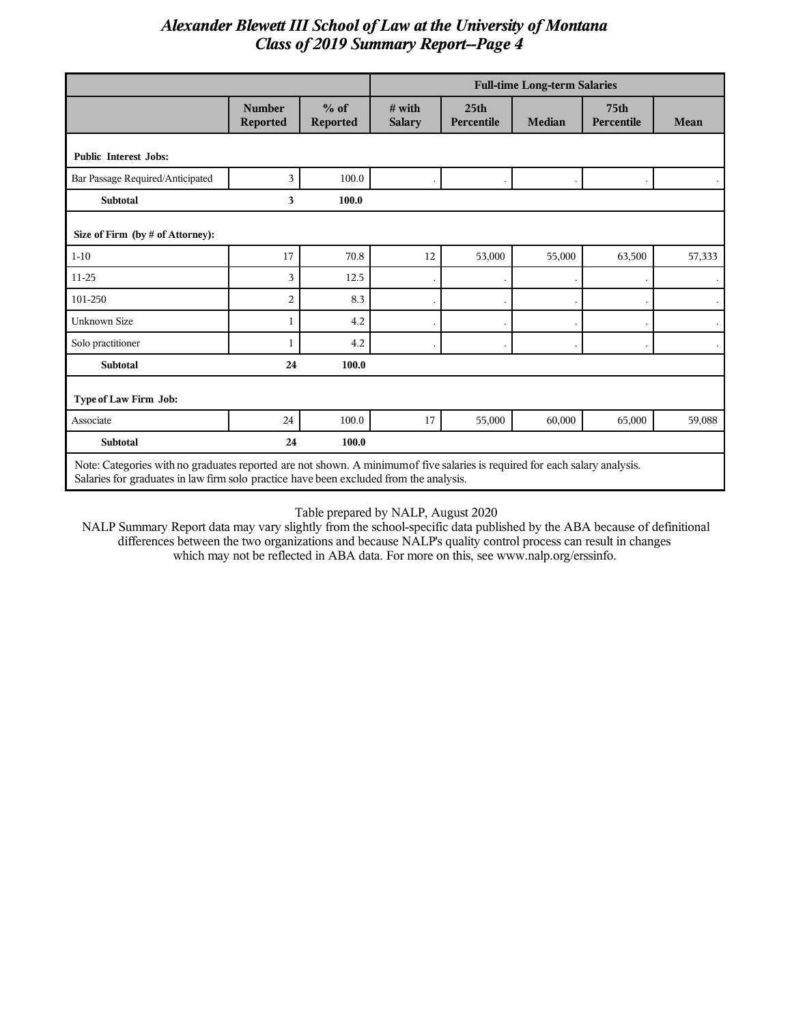|                                                                                                                         |                                  |                           | <b>Full-time Long-term Salaries</b> |                                |               |                                |                      |
|-------------------------------------------------------------------------------------------------------------------------|----------------------------------|---------------------------|-------------------------------------|--------------------------------|---------------|--------------------------------|----------------------|
|                                                                                                                         | <b>Number</b><br><b>Reported</b> | $%$ of<br><b>Reported</b> | $#$ with<br><b>Salary</b>           | 25 <sub>th</sub><br>Percentile | <b>Median</b> | 75 <sub>th</sub><br>Percentile | Mean                 |
| <b>Public Interest Jobs:</b>                                                                                            |                                  |                           |                                     |                                |               |                                |                      |
| Bar Passage Required/Anticipated                                                                                        | 3                                | 100.0                     |                                     |                                |               |                                |                      |
| <b>Subtotal</b>                                                                                                         | 3                                | 100.0                     |                                     |                                |               |                                |                      |
| Size of Firm (by # of Attorney):                                                                                        |                                  |                           |                                     |                                |               |                                |                      |
| $1 - 10$                                                                                                                | 17                               | 70.8                      | 12                                  | 53,000                         | 55,000        | 63,500                         | 57,333               |
| 11-25                                                                                                                   | 3                                | 12.5                      |                                     |                                |               |                                | $\bullet$            |
| 101-250                                                                                                                 | $\overline{2}$                   | 8.3                       |                                     |                                |               |                                | $\ddot{\phantom{0}}$ |
| <b>Unknown Size</b>                                                                                                     | 1                                | 4.2                       |                                     |                                |               |                                | $\ddot{\phantom{0}}$ |
| Solo practitioner                                                                                                       | 1                                | 4.2                       |                                     |                                |               |                                |                      |
| <b>Subtotal</b>                                                                                                         | 24                               | 100.0                     |                                     |                                |               |                                |                      |
| Type of Law Firm Job:                                                                                                   |                                  |                           |                                     |                                |               |                                |                      |
| Associate                                                                                                               | 24                               | 100.0                     | 17                                  | 55,000                         | 60,000        | 65,000                         | 59,088               |
| <b>Subtotal</b>                                                                                                         | 24                               | 100.0                     |                                     |                                |               |                                |                      |
| Note Cotegories with no another reported are not shown A minimum of five selection is required for each select englysis |                                  |                           |                                     |                                |               |                                |                      |

Note: Categories with no graduates reported are not shown. A minimumof five salaries is required for each salary analysis. Salaries for graduates in law firm solo practice have been excluded from the analysis.

Table prepared by NALP, August 2020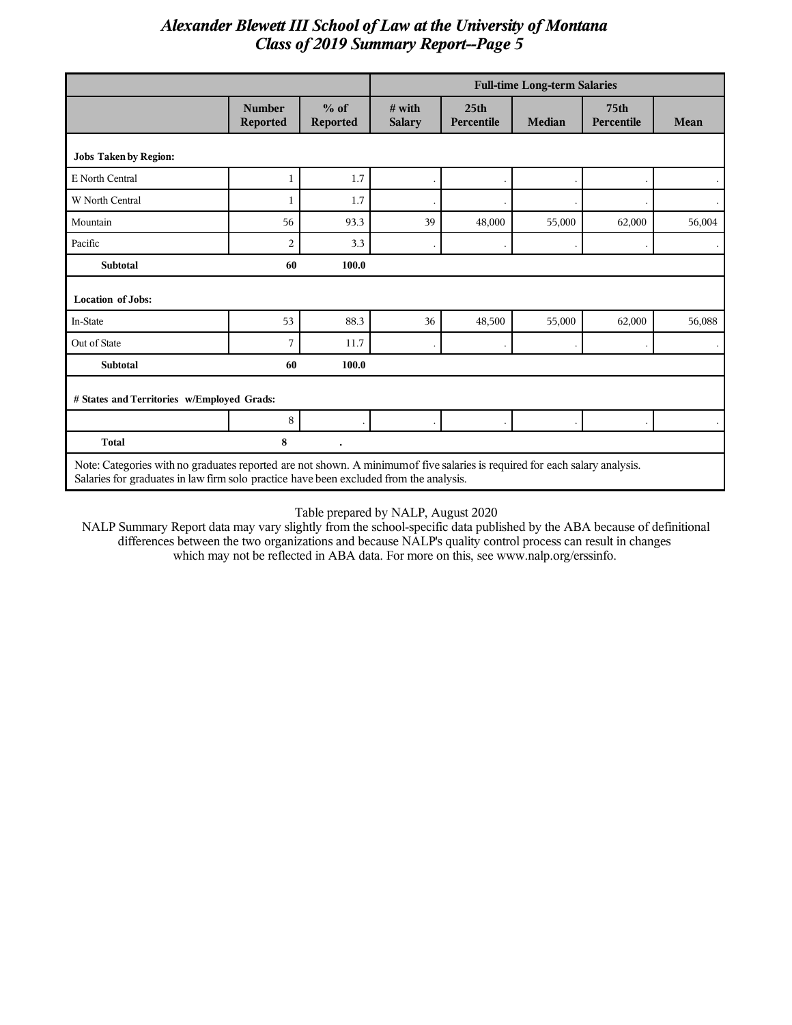|                                                                                                                            |                           |                           | <b>Full-time Long-term Salaries</b> |                                |               |                                |           |
|----------------------------------------------------------------------------------------------------------------------------|---------------------------|---------------------------|-------------------------------------|--------------------------------|---------------|--------------------------------|-----------|
|                                                                                                                            | <b>Number</b><br>Reported | $%$ of<br><b>Reported</b> | $#$ with<br><b>Salary</b>           | 25 <sub>th</sub><br>Percentile | <b>Median</b> | 75 <sub>th</sub><br>Percentile | Mean      |
| <b>Jobs Taken by Region:</b>                                                                                               |                           |                           |                                     |                                |               |                                |           |
| E North Central                                                                                                            | 1                         | 1.7                       |                                     |                                |               |                                |           |
| W North Central                                                                                                            | 1                         | 1.7                       |                                     |                                |               |                                | $\cdot$   |
| Mountain                                                                                                                   | 56                        | 93.3                      | 39                                  | 48,000                         | 55,000        | 62,000                         | 56,004    |
| Pacific                                                                                                                    | $\overline{2}$            | 3.3                       |                                     |                                |               |                                | $\bullet$ |
| <b>Subtotal</b>                                                                                                            | 60                        | 100.0                     |                                     |                                |               |                                |           |
| <b>Location of Jobs:</b>                                                                                                   |                           |                           |                                     |                                |               |                                |           |
| In-State                                                                                                                   | 53                        | 88.3                      | 36                                  | 48,500                         | 55,000        | 62,000                         | 56,088    |
| Out of State                                                                                                               | 7                         | 11.7                      |                                     |                                |               |                                |           |
| <b>Subtotal</b>                                                                                                            | 60                        | 100.0                     |                                     |                                |               |                                |           |
| # States and Territories w/Employed Grads:                                                                                 |                           |                           |                                     |                                |               |                                |           |
|                                                                                                                            | 8                         |                           |                                     |                                |               |                                |           |
| <b>Total</b>                                                                                                               | 8                         |                           |                                     |                                |               |                                |           |
| Note: Categories with no graduates reported are not shown. A minimum of five salaries is required for each salary analysis |                           |                           |                                     |                                |               |                                |           |

Note: Categories with no graduates reported are not shown. A minimumof five salaries is required for each salary analysis. Salaries for graduates in law firm solo practice have been excluded from the analysis.

Table prepared by NALP, August 2020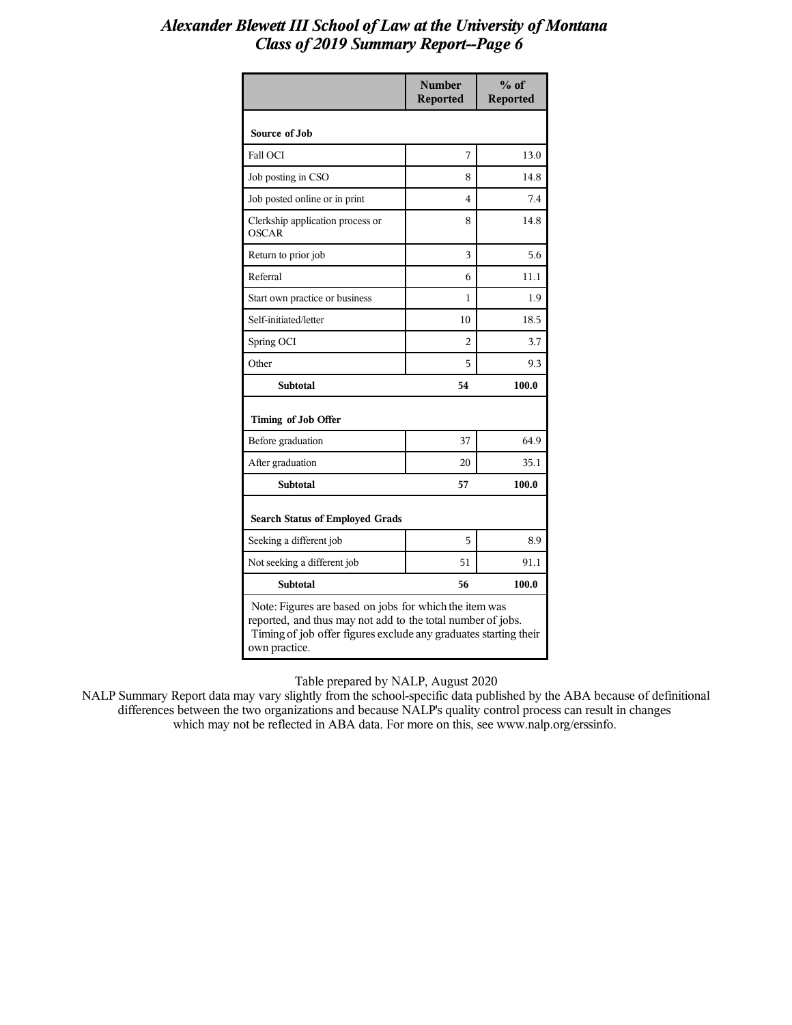|                                                                                                                                                                                                            | <b>Number</b><br><b>Reported</b> | $\%$ of<br><b>Reported</b> |  |  |
|------------------------------------------------------------------------------------------------------------------------------------------------------------------------------------------------------------|----------------------------------|----------------------------|--|--|
| Source of Job                                                                                                                                                                                              |                                  |                            |  |  |
| <b>Fall OCI</b>                                                                                                                                                                                            | 7                                | 13.0                       |  |  |
| Job posting in CSO                                                                                                                                                                                         | 8                                | 14.8                       |  |  |
| Job posted online or in print                                                                                                                                                                              | 4                                | 7.4                        |  |  |
| Clerkship application process or<br>OSCAR                                                                                                                                                                  | 8                                | 14.8                       |  |  |
| Return to prior job                                                                                                                                                                                        | 3                                | 5.6                        |  |  |
| Referral                                                                                                                                                                                                   | 6                                | 11.1                       |  |  |
| Start own practice or business                                                                                                                                                                             | 1                                | 1.9                        |  |  |
| Self-initiated/letter                                                                                                                                                                                      | 10                               | 18.5                       |  |  |
| Spring OCI                                                                                                                                                                                                 | $\overline{c}$                   | 3.7                        |  |  |
| Other                                                                                                                                                                                                      | 5                                | 9.3                        |  |  |
| Subtotal                                                                                                                                                                                                   | 54                               | 100.0                      |  |  |
| Timing of Job Offer                                                                                                                                                                                        |                                  |                            |  |  |
| Before graduation                                                                                                                                                                                          | 37                               | 64.9                       |  |  |
| After graduation                                                                                                                                                                                           | 20                               | 35.1                       |  |  |
| <b>Subtotal</b>                                                                                                                                                                                            | 57                               | 100.0                      |  |  |
| <b>Search Status of Employed Grads</b>                                                                                                                                                                     |                                  |                            |  |  |
| Seeking a different job                                                                                                                                                                                    | 5                                | 8.9                        |  |  |
| Not seeking a different job                                                                                                                                                                                | 51                               | 91.1                       |  |  |
| <b>Subtotal</b>                                                                                                                                                                                            | 56                               | 100.0                      |  |  |
| Note: Figures are based on jobs for which the item was<br>reported, and thus may not add to the total number of jobs.<br>Timing of job offer figures exclude any graduates starting their<br>own practice. |                                  |                            |  |  |

Table prepared by NALP, August 2020